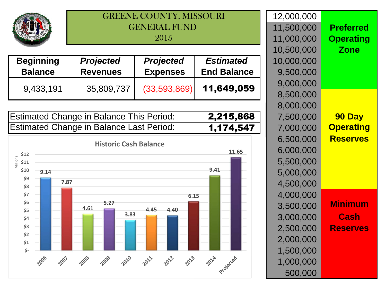

## GREENE COUNTY, MISSOURIGENERAL FUND 2015

| <b>Beginning</b> | <b>Projected</b> | <b>Projected</b> | <b>Estimated</b>   | 10,000,000 |
|------------------|------------------|------------------|--------------------|------------|
| <b>Balance</b>   | <b>Revenues</b>  | <b>Expenses</b>  | <b>End Balance</b> | 9,500,000  |
|                  |                  |                  | 11,649,059         | 9,000,000  |
| 9,433,191        | 35,809,737       | (33,593,869)     |                    | 8,500,000  |

| Estimated Change in Balance This Period: | 2,215,868 |
|------------------------------------------|-----------|
| Estimated Change in Balance Last Period: | 1,174,547 |



|   | 12,000,000 |                  |
|---|------------|------------------|
|   | 11,500,000 | <b>Preferred</b> |
|   | 11,000,000 | <b>Operating</b> |
|   | 10,500,000 | <b>Zone</b>      |
|   | 10,000,000 |                  |
| е | 9,500,000  |                  |
|   | 9,000,000  |                  |
| 9 | 8,500,000  |                  |
|   | 8,000,000  |                  |
| 8 | 7,500,000  | 90 Day           |
|   | 7,000,000  | <b>Operating</b> |
|   | 6,500,000  | <b>Reserves</b>  |
|   | 6,000,000  |                  |
|   | 5,500,000  |                  |
|   | 5,000,000  |                  |
|   | 4,500,000  |                  |
|   | 4,000,000  |                  |
|   | 3,500,000  | Minimum          |
|   | 3,000,000  | Cash             |
|   | 2,500,000  | eser             |
|   | 2,000,000  |                  |
|   | 1,500,000  |                  |
|   | 1,000,000  |                  |
|   | 500,000    |                  |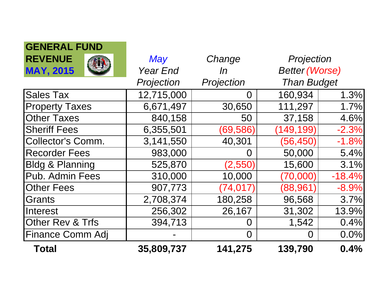| GENEKAL FUND               |                 |            |                       |          |
|----------------------------|-----------------|------------|-----------------------|----------|
| <b>REVENUE</b>             | May             | Change     | Projection            |          |
| <b>MAY, 2015</b>           | <b>Year End</b> | In         | <b>Better (Worse)</b> |          |
|                            | Projection      | Projection | <b>Than Budget</b>    |          |
| <b>Sales Tax</b>           | 12,715,000      | 0          | 160,934               | 1.3%     |
| <b>Property Taxes</b>      | 6,671,497       | 30,650     | 111,297               | 1.7%     |
| <b>Other Taxes</b>         | 840,158         | 50         | 37,158                | 4.6%     |
| <b>Sheriff Fees</b>        | 6,355,501       | (69, 586)  | (149, 199)            | $-2.3%$  |
| <b>Collector's Comm.</b>   | 3,141,550       | 40,301     | (56, 450)             | $-1.8%$  |
| <b>Recorder Fees</b>       | 983,000         | O          | 50,000                | 5.4%     |
| <b>Bldg &amp; Planning</b> | 525,870         | (2,550)    | 15,600                | 3.1%     |
| Pub. Admin Fees            | 310,000         | 10,000     | (70,000)              | $-18.4%$ |
| <b>Other Fees</b>          | 907,773         | (74, 017)  | (88, 961)             | $-8.9%$  |
| Grants                     | 2,708,374       | 180,258    | 96,568                | 3.7%     |
| Interest                   | 256,302         | 26,167     | 31,302                | 13.9%    |
| Other Rev & Trfs           | 394,713         | O          | 1,542                 | 0.4%     |
| <b>Finance Comm Adj</b>    |                 | 0          | $\Omega$              | 0.0%     |
| <b>Total</b>               | 35,809,737      | 141,275    | 139,790               | 0.4%     |

**GENERAL FUND**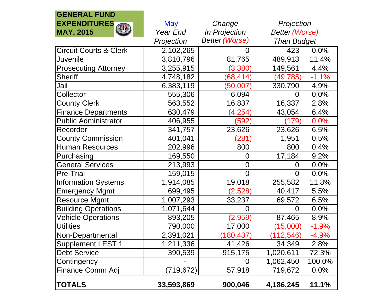| <b>GENERAL FUND</b>               |                      |                       |                    |                       |  |
|-----------------------------------|----------------------|-----------------------|--------------------|-----------------------|--|
| <b>EXPENDITURES</b>               | <b>May</b><br>Change |                       | Projection         |                       |  |
| 柳<br><b>MAY, 2015</b>             | Year End             | In Projection         |                    | <b>Better (Worse)</b> |  |
|                                   | Projection           | <b>Better (Worse)</b> | <b>Than Budget</b> |                       |  |
| <b>Circuit Courts &amp; Clerk</b> | 2,102,265            |                       | 423                | 0.0%                  |  |
| Juvenile                          | 3,810,796            | 81,765                | 489,913            | 11.4%                 |  |
| <b>Prosecuting Attorney</b>       | 3,255,915            | (3, 380)              | 149,561            | 4.4%                  |  |
| <b>Sheriff</b>                    | 4,748,182            | (68, 414)             | (49,785)           | $-1.1%$               |  |
| Jail                              | 6,383,119            | (50,007               | 330,790            | 4.9%                  |  |
| Collector                         | 555,306              | 6,094                 | 0                  | 0.0%                  |  |
| <b>County Clerk</b>               | 563,552              | 16,837                | 16,337             | 2.8%                  |  |
| <b>Finance Departments</b>        | 630,479              | (4,254)               | 43,054             | 6.4%                  |  |
| <b>Public Administrator</b>       | 406,955              | (592)                 | (179)              | 0.0%                  |  |
| Recorder                          | 341,757              | 23,626                | 23,626             | 6.5%                  |  |
| <b>County Commission</b>          | 401,041              | 281                   | 1,951              | 0.5%                  |  |
| <b>Human Resources</b>            | 202,996              | 800                   | 800                | 0.4%                  |  |
| Purchasing                        | 169,550              | 0                     | 17,184             | 9.2%                  |  |
| <b>General Services</b>           | 213,993              | 0                     | 0                  | 0.0%                  |  |
| <b>Pre-Trial</b>                  | 159,015              | 0                     | 0                  | 0.0%                  |  |
| <b>Information Systems</b>        | 1,914,085            | 19,018                | 255,582            | 11.8%                 |  |
| <b>Emergency Mgmt</b>             | 699,495              | (2,528)               | 40,417             | 5.5%                  |  |
| <b>Resource Mgmt</b>              | 1,007,293            | 33,237                | 69,572             | 6.5%                  |  |
| <b>Building Operations</b>        | 1,071,644            | ()                    | 0                  | 0.0%                  |  |
| <b>Vehicle Operations</b>         | 893,205              | (2,959)               | 87,465             | 8.9%                  |  |
| <b>Utilities</b>                  | 790,000              | 17,000                | (15,000)           | $-1.9%$               |  |
| Non-Departmental                  | 2,391,021            | (180,437)             | (112, 546)         | $-4.9%$               |  |
| <b>Supplement LEST 1</b>          | 1,211,336            | 41,426                | 34,349             | 2.8%                  |  |
| <b>Debt Service</b>               | 390,539              | 915,175               | 1,020,611          | 72.3%                 |  |
| Contingency                       |                      |                       | 1,062,450          | 100.0%                |  |
| Finance Comm Adj                  | (719,672)            | 57,918                | 719,672            | 0.0%                  |  |
| <b>TOTALS</b>                     | 33,593,869           | 900,046               | 4,186,245          | 11.1%                 |  |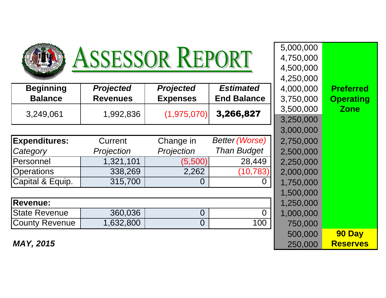| ASSESSOR REPORT                    |                                     |                                     |                                        | 5,000,000<br>4,750,000<br>4,500,000<br>4,250,000 |                                      |
|------------------------------------|-------------------------------------|-------------------------------------|----------------------------------------|--------------------------------------------------|--------------------------------------|
| <b>Beginning</b><br><b>Balance</b> | <b>Projected</b><br><b>Revenues</b> | <b>Projected</b><br><b>Expenses</b> | <b>Estimated</b><br><b>End Balance</b> | 4,000,000<br>3,750,000                           | <b>Preferred</b><br><b>Operating</b> |
| 3,249,061                          | 1,992,836                           | (1,975,070)                         | 3,266,827                              | 3,500,000<br>3,250,000                           | <b>Zone</b>                          |
|                                    |                                     |                                     |                                        | 3,000,000                                        |                                      |
| <b>Expenditures:</b>               | Current                             | Change in                           | <b>Better (Worse)</b>                  | 2,750,000                                        |                                      |
| Category                           | Projection                          | Projection                          | <b>Than Budget</b>                     | 2,500,000                                        |                                      |
| <b>Personnel</b>                   | 1,321,101                           | (5,500)                             | 28,449                                 | 2,250,000                                        |                                      |
| <b>Operations</b>                  | 338,269                             | 2,262                               | (10,783)                               | 2,000,000                                        |                                      |
| Capital & Equip.                   | 315,700                             | 0                                   |                                        | 1,750,000                                        |                                      |
|                                    |                                     |                                     |                                        | 1,500,000                                        |                                      |
| <b>Revenue:</b>                    |                                     |                                     |                                        | 1,250,000                                        |                                      |
| <b>State Revenue</b>               | 360,036                             | $\overline{0}$                      | 0                                      | 1,000,000                                        |                                      |
| County Revenue                     | 1,632,800                           | $\overline{0}$                      | 100                                    | 750,000                                          |                                      |
|                                    |                                     |                                     |                                        | 500,000                                          | 90 Day                               |
| <b>MAY, 2015</b>                   |                                     |                                     |                                        | 250,000                                          | <b>Reserves</b>                      |